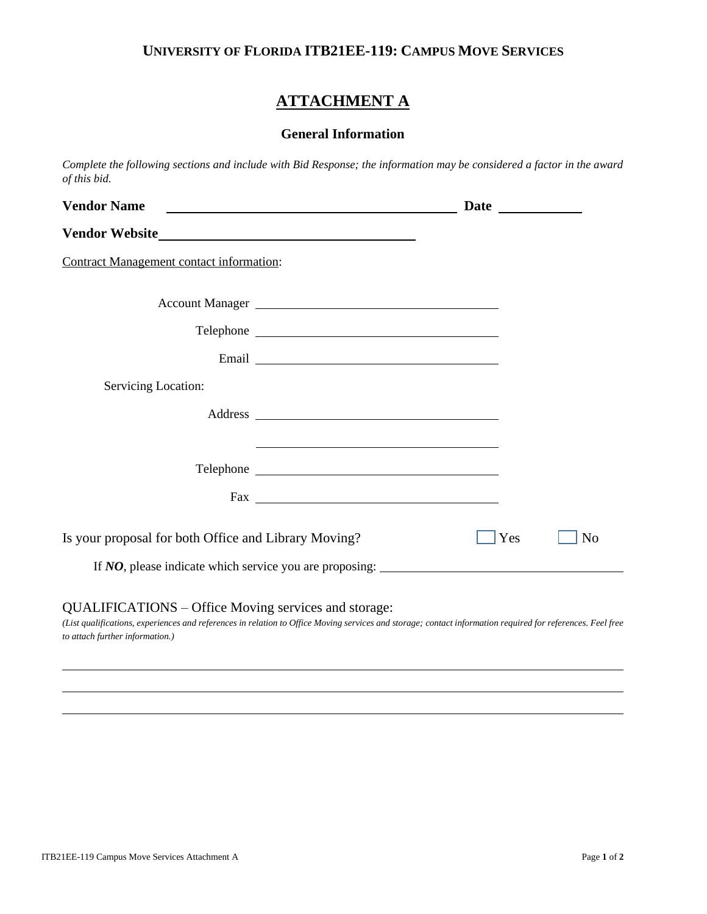### **UNIVERSITY OF FLORIDA ITB21EE-119: CAMPUS MOVE SERVICES**

# **ATTACHMENT A**

## **General Information**

*Complete the following sections and include with Bid Response; the information may be considered a factor in the award of this bid.*

| <b>Vendor Name</b>                                                                      |                                                                                                                                                            |     |                |
|-----------------------------------------------------------------------------------------|------------------------------------------------------------------------------------------------------------------------------------------------------------|-----|----------------|
|                                                                                         |                                                                                                                                                            |     |                |
| <b>Contract Management contact information:</b>                                         |                                                                                                                                                            |     |                |
|                                                                                         |                                                                                                                                                            |     |                |
|                                                                                         |                                                                                                                                                            |     |                |
|                                                                                         |                                                                                                                                                            |     |                |
| Servicing Location:                                                                     |                                                                                                                                                            |     |                |
|                                                                                         |                                                                                                                                                            |     |                |
|                                                                                         | <u> 1980 - Johann Stoff, amerikansk politiker (d. 1980)</u>                                                                                                |     |                |
|                                                                                         |                                                                                                                                                            |     |                |
|                                                                                         |                                                                                                                                                            |     |                |
| Is your proposal for both Office and Library Moving?                                    |                                                                                                                                                            | Yes | N <sub>0</sub> |
|                                                                                         | If <i>NO</i> , please indicate which service you are proposing:                                                                                            |     |                |
| QUALIFICATIONS – Office Moving services and storage:<br>to attach further information.) | (List qualifications, experiences and references in relation to Office Moving services and storage; contact information required for references. Feel free |     |                |